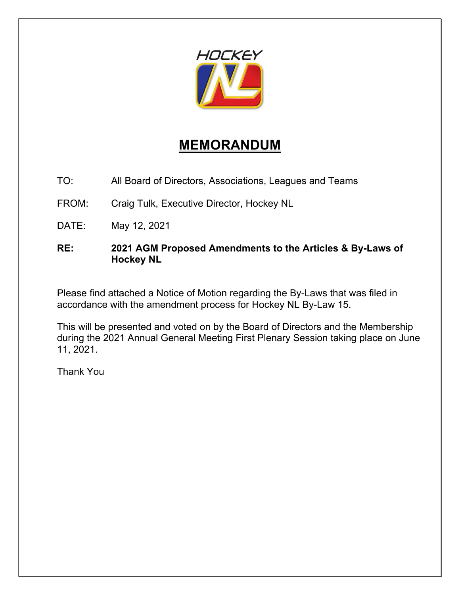

## **MEMORANDUM**

TO: All Board of Directors, Associations, Leagues and Teams

FROM: Craig Tulk, Executive Director, Hockey NL

DATE: May 12, 2021

## **RE: 2021 AGM Proposed Amendments to the Articles & By-Laws of Hockey NL**

Please find attached a Notice of Motion regarding the By-Laws that was filed in accordance with the amendment process for Hockey NL By-Law 15.

This will be presented and voted on by the Board of Directors and the Membership during the 2021 Annual General Meeting First Plenary Session taking place on June 11, 2021.

Thank You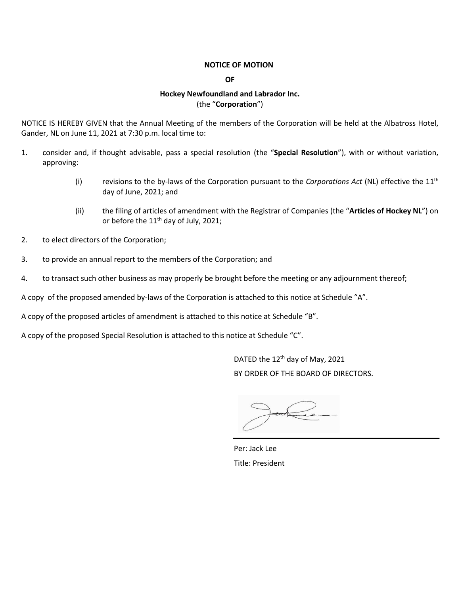#### **NOTICE OF MOTION**

**OF**

#### **Hockey Newfoundland and Labrador Inc.** (the "**Corporation**")

NOTICE IS HEREBY GIVEN that the Annual Meeting of the members of the Corporation will be held at the Albatross Hotel, Gander, NL on June 11, 2021 at 7:30 p.m. local time to:

- 1. consider and, if thought advisable, pass a special resolution (the "**Special Resolution**"), with or without variation, approving:
	- (i) revisions to the by-laws of the Corporation pursuant to the *Corporations Act* (NL) effective the 11th day of June, 2021; and
	- (ii) the filing of articles of amendment with the Registrar of Companies (the "**Articles of Hockey NL**") on or before the  $11<sup>th</sup>$  day of July, 2021;
- 2. to elect directors of the Corporation;
- 3. to provide an annual report to the members of the Corporation; and
- 4. to transact such other business as may properly be brought before the meeting or any adjournment thereof;

A copy of the proposed amended by-laws of the Corporation is attached to this notice at Schedule "A".

A copy of the proposed articles of amendment is attached to this notice at Schedule "B".

A copy of the proposed Special Resolution is attached to this notice at Schedule "C".

DATED the 12<sup>th</sup> day of May, 2021 BY ORDER OF THE BOARD OF DIRECTORS.

Per: Jack Lee Title: President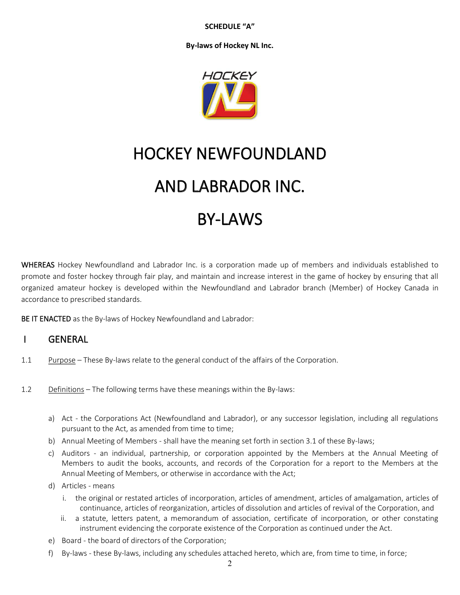**SCHEDULE "A"**

**By-laws of Hockey NL Inc.**



# HOCKEY NEWFOUNDLAND AND LABRADOR INC.

## **BY-LAWS**

WHEREAS Hockey Newfoundland and Labrador Inc. is a corporation made up of members and individuals established to promote and foster hockey through fair play, and maintain and increase interest in the game of hockey by ensuring that all organized amateur hockey is developed within the Newfoundland and Labrador branch (Member) of Hockey Canada in accordance to prescribed standards.

BE IT ENACTED as the By-laws of Hockey Newfoundland and Labrador:

## I GENERAL

- 1.1 Purpose These By-laws relate to the general conduct of the affairs of the Corporation.
- 1.2 Definitions The following terms have these meanings within the By-laws:
	- a) Act the Corporations Act (Newfoundland and Labrador), or any successor legislation, including all regulations pursuant to the Act, as amended from time to time;
	- b) Annual Meeting of Members shall have the meaning set forth in section 3.1 of these By-laws;
	- c) Auditors an individual, partnership, or corporation appointed by the Members at the Annual Meeting of Members to audit the books, accounts, and records of the Corporation for a report to the Members at the Annual Meeting of Members, or otherwise in accordance with the Act;
	- d) Articles means
		- i. the original or restated articles of incorporation, articles of amendment, articles of amalgamation, articles of continuance, articles of reorganization, articles of dissolution and articles of revival of the Corporation, and
		- ii. a statute, letters patent, a memorandum of association, certificate of incorporation, or other constating instrument evidencing the corporate existence of the Corporation as continued under the Act.
	- e) Board the board of directors of the Corporation;
	- f) By-laws these By-laws, including any schedules attached hereto, which are, from time to time, in force;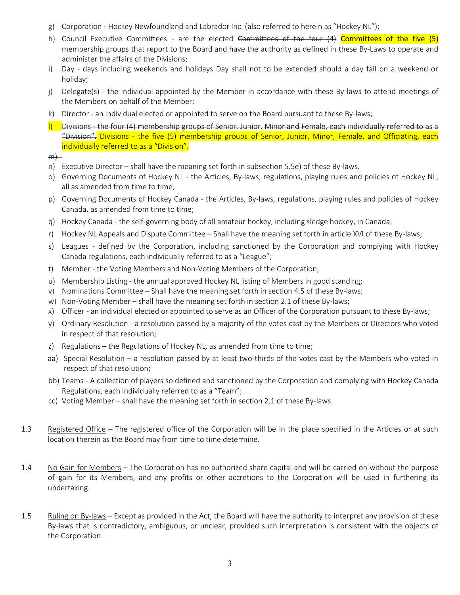- g) Corporation Hockey Newfoundland and Labrador Inc. (also referred to herein as "Hockey NL");
- h) Council Executive Committees are the elected Committees of the four (4) Committees of the five (5) membership groups that report to the Board and have the authority as defined in these By-Laws to operate and administer the affairs of the Divisions;
- i) Day days including weekends and holidays Day shall not to be extended should a day fall on a weekend or holiday;
- j) Delegate(s) the individual appointed by the Member in accordance with these By-laws to attend meetings of the Members on behalf of the Member;
- k) Director an individual elected or appointed to serve on the Board pursuant to these By-laws;
- $\vert$ ) Divisions the four (4) membership groups of Senior, Junior, Minor and Female, each individually referred to as a "Division". Divisions - the five (5) membership groups of Senior, Junior, Minor, Female, and Officiating, each individually referred to as a "Division".

 $m$ }

- n) Executive Director shall have the meaning set forth in subsection 5.5e) of these By-laws.
- o) Governing Documents of Hockey NL the Articles, By-laws, regulations, playing rules and policies of Hockey NL, all as amended from time to time;
- p) Governing Documents of Hockey Canada the Articles, By-laws, regulations, playing rules and policies of Hockey Canada, as amended from time to time;
- q) Hockey Canada the self-governing body of all amateur hockey, including sledge hockey, in Canada;
- r) Hockey NL Appeals and Dispute Committee Shall have the meaning set forth in article XVI of these By-laws;
- s) Leagues defined by the Corporation, including sanctioned by the Corporation and complying with Hockey Canada regulations, each individually referred to as a "League";
- t) Member the Voting Members and Non-Voting Members of the Corporation;
- u) Membership Listing the annual approved Hockey NL listing of Members in good standing;
- v) Nominations Committee Shall have the meaning set forth in section 4.5 of these By-laws;
- w) Non-Voting Member shall have the meaning set forth in section 2.1 of these By-laws;
- x) Officer an individual elected or appointed to serve as an Officer of the Corporation pursuant to these By-laws;
- y) Ordinary Resolution a resolution passed by a majority of the votes cast by the Members or Directors who voted in respect of that resolution;
- z) Regulations the Regulations of Hockey NL, as amended from time to time;
- aa) Special Resolution a resolution passed by at least two-thirds of the votes cast by the Members who voted in respect of that resolution;
- bb) Teams A collection of players so defined and sanctioned by the Corporation and complying with Hockey Canada Regulations, each individually referred to as a "Team";
- cc) Voting Member shall have the meaning set forth in section 2.1 of these By-laws.
- 1.3 Registered Office The registered office of the Corporation will be in the place specified in the Articles or at such location therein as the Board may from time to time determine.
- 1.4 No Gain for Members The Corporation has no authorized share capital and will be carried on without the purpose of gain for its Members, and any profits or other accretions to the Corporation will be used in furthering its undertaking.
- 1.5 Ruling on By-laws Except as provided in the Act, the Board will have the authority to interpret any provision of these By-laws that is contradictory, ambiguous, or unclear, provided such interpretation is consistent with the objects of the Corporation.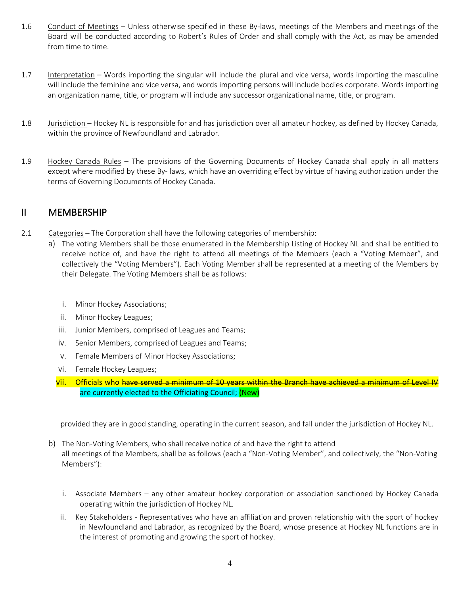- 1.6 Conduct of Meetings Unless otherwise specified in these By-laws, meetings of the Members and meetings of the Board will be conducted according to Robert's Rules of Order and shall comply with the Act, as may be amended from time to time.
- 1.7 Interpretation Words importing the singular will include the plural and vice versa, words importing the masculine will include the feminine and vice versa, and words importing persons will include bodies corporate. Words importing an organization name, title, or program will include any successor organizational name, title, or program.
- 1.8 Jurisdiction Hockey NL is responsible for and has jurisdiction over all amateur hockey, as defined by Hockey Canada, within the province of Newfoundland and Labrador.
- 1.9 Hockey Canada Rules The provisions of the Governing Documents of Hockey Canada shall apply in all matters except where modified by these By- laws, which have an overriding effect by virtue of having authorization under the terms of Governing Documents of Hockey Canada.

## II MEMBERSHIP

- 2.1 Categories The Corporation shall have the following categories of membership:
	- a) The voting Members shall be those enumerated in the Membership Listing of Hockey NL and shall be entitled to receive notice of, and have the right to attend all meetings of the Members (each a "Voting Member", and collectively the "Voting Members"). Each Voting Member shall be represented at a meeting of the Members by their Delegate. The Voting Members shall be as follows:
		- i. Minor Hockey Associations;
		- ii. Minor Hockey Leagues;
		- iii. Junior Members, comprised of Leagues and Teams;
		- iv. Senior Members, comprised of Leagues and Teams;
		- v. Female Members of Minor Hockey Associations;
		- vi. Female Hockey Leagues;
		- vii. Officials who have served a minimum of 10 years within the Branch have achieved a minimum of Level IV are currently elected to the Officiating Council; (New)

provided they are in good standing, operating in the current season, and fall under the jurisdiction of Hockey NL.

- b) The Non-Voting Members, who shall receive notice of and have the right to attend all meetings of the Members, shall be as follows (each a "Non-Voting Member", and collectively, the "Non-Voting Members"):
	- i. Associate Members any other amateur hockey corporation or association sanctioned by Hockey Canada operating within the jurisdiction of Hockey NL.
	- ii. Key Stakeholders Representatives who have an affiliation and proven relationship with the sport of hockey in Newfoundland and Labrador, as recognized by the Board, whose presence at Hockey NL functions are in the interest of promoting and growing the sport of hockey.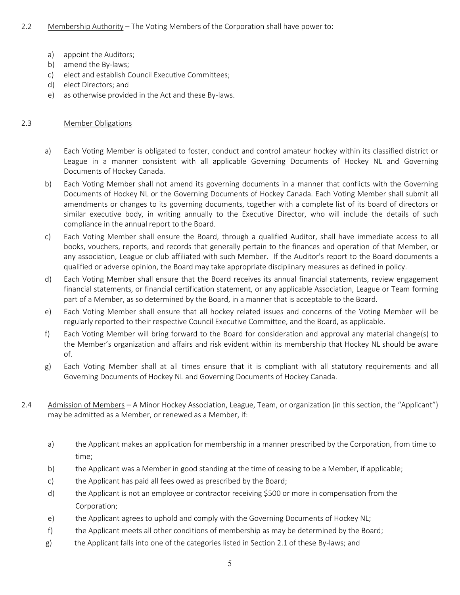## 2.2 Membership Authority – The Voting Members of the Corporation shall have power to:

- a) appoint the Auditors;
- b) amend the By-laws;
- c) elect and establish Council Executive Committees;
- d) elect Directors; and
- e) as otherwise provided in the Act and these By-laws.

#### 2.3 Member Obligations

- a) Each Voting Member is obligated to foster, conduct and control amateur hockey within its classified district or League in a manner consistent with all applicable Governing Documents of Hockey NL and Governing Documents of Hockey Canada.
- b) Each Voting Member shall not amend its governing documents in a manner that conflicts with the Governing Documents of Hockey NL or the Governing Documents of Hockey Canada. Each Voting Member shall submit all amendments or changes to its governing documents, together with a complete list of its board of directors or similar executive body, in writing annually to the Executive Director, who will include the details of such compliance in the annual report to the Board.
- c) Each Voting Member shall ensure the Board, through a qualified Auditor, shall have immediate access to all books, vouchers, reports, and records that generally pertain to the finances and operation of that Member, or any association, League or club affiliated with such Member. If the Auditor's report to the Board documents a qualified or adverse opinion, the Board may take appropriate disciplinary measures as defined in policy.
- d) Each Voting Member shall ensure that the Board receives its annual financial statements, review engagement financial statements, or financial certification statement, or any applicable Association, League or Team forming part of a Member, as so determined by the Board, in a manner that is acceptable to the Board.
- e) Each Voting Member shall ensure that all hockey related issues and concerns of the Voting Member will be regularly reported to their respective Council Executive Committee, and the Board, as applicable.
- f) Each Voting Member will bring forward to the Board for consideration and approval any material change(s) to the Member's organization and affairs and risk evident within its membership that Hockey NL should be aware of.
- g) Each Voting Member shall at all times ensure that it is compliant with all statutory requirements and all Governing Documents of Hockey NL and Governing Documents of Hockey Canada.
- 2.4 Admission of Members A Minor Hockey Association, League, Team, or organization (in this section, the "Applicant") may be admitted as a Member, or renewed as a Member, if:
	- a) the Applicant makes an application for membership in a manner prescribed by the Corporation, from time to time;
	- b) the Applicant was a Member in good standing at the time of ceasing to be a Member, if applicable;
	- c) the Applicant has paid all fees owed as prescribed by the Board;
	- d) the Applicant is not an employee or contractor receiving \$500 or more in compensation from the Corporation;
	- e) the Applicant agrees to uphold and comply with the Governing Documents of Hockey NL;
	- f) the Applicant meets all other conditions of membership as may be determined by the Board;
	- g) the Applicant falls into one of the categories listed in Section 2.1 of these By-laws; and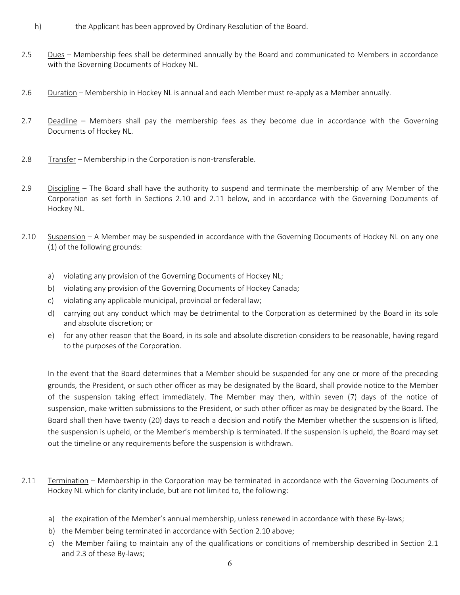- h) the Applicant has been approved by Ordinary Resolution of the Board.
- 2.5 Dues Membership fees shall be determined annually by the Board and communicated to Members in accordance with the Governing Documents of Hockey NL.
- 2.6 Duration Membership in Hockey NL is annual and each Member must re-apply as a Member annually.
- 2.7 Deadline Members shall pay the membership fees as they become due in accordance with the Governing Documents of Hockey NL.
- 2.8 Transfer Membership in the Corporation is non-transferable.
- 2.9 Discipline The Board shall have the authority to suspend and terminate the membership of any Member of the Corporation as set forth in Sections 2.10 and 2.11 below, and in accordance with the Governing Documents of Hockey NL.
- 2.10 Suspension A Member may be suspended in accordance with the Governing Documents of Hockey NL on any one (1) of the following grounds:
	- a) violating any provision of the Governing Documents of Hockey NL;
	- b) violating any provision of the Governing Documents of Hockey Canada;
	- c) violating any applicable municipal, provincial or federal law;
	- d) carrying out any conduct which may be detrimental to the Corporation as determined by the Board in its sole and absolute discretion; or
	- e) for any other reason that the Board, in its sole and absolute discretion considers to be reasonable, having regard to the purposes of the Corporation.

In the event that the Board determines that a Member should be suspended for any one or more of the preceding grounds, the President, or such other officer as may be designated by the Board, shall provide notice to the Member of the suspension taking effect immediately. The Member may then, within seven (7) days of the notice of suspension, make written submissions to the President, or such other officer as may be designated by the Board. The Board shall then have twenty (20) days to reach a decision and notify the Member whether the suspension is lifted, the suspension is upheld, or the Member's membership is terminated. If the suspension is upheld, the Board may set out the timeline or any requirements before the suspension is withdrawn.

- 2.11 Termination Membership in the Corporation may be terminated in accordance with the Governing Documents of Hockey NL which for clarity include, but are not limited to, the following:
	- a) the expiration of the Member's annual membership, unless renewed in accordance with these By-laws;
	- b) the Member being terminated in accordance with Section 2.10 above;
	- c) the Member failing to maintain any of the qualifications or conditions of membership described in Section 2.1 and 2.3 of these By-laws;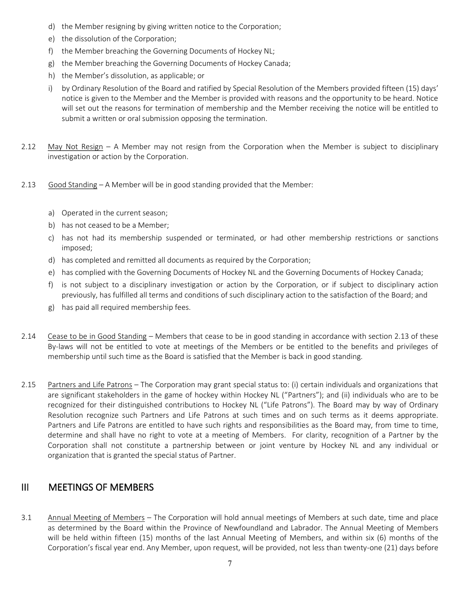- d) the Member resigning by giving written notice to the Corporation;
- e) the dissolution of the Corporation;
- f) the Member breaching the Governing Documents of Hockey NL;
- g) the Member breaching the Governing Documents of Hockey Canada;
- h) the Member's dissolution, as applicable; or
- i) by Ordinary Resolution of the Board and ratified by Special Resolution of the Members provided fifteen (15) days' notice is given to the Member and the Member is provided with reasons and the opportunity to be heard. Notice will set out the reasons for termination of membership and the Member receiving the notice will be entitled to submit a written or oral submission opposing the termination.
- 2.12 May Not Resign A Member may not resign from the Corporation when the Member is subject to disciplinary investigation or action by the Corporation.
- 2.13 Good Standing A Member will be in good standing provided that the Member:
	- a) Operated in the current season;
	- b) has not ceased to be a Member;
	- c) has not had its membership suspended or terminated, or had other membership restrictions or sanctions imposed;
	- d) has completed and remitted all documents as required by the Corporation;
	- e) has complied with the Governing Documents of Hockey NL and the Governing Documents of Hockey Canada;
	- f) is not subject to a disciplinary investigation or action by the Corporation, or if subject to disciplinary action previously, has fulfilled all terms and conditions of such disciplinary action to the satisfaction of the Board; and
	- g) has paid all required membership fees.
- 2.14 Cease to be in Good Standing Members that cease to be in good standing in accordance with section 2.13 of these By-laws will not be entitled to vote at meetings of the Members or be entitled to the benefits and privileges of membership until such time as the Board is satisfied that the Member is back in good standing.
- 2.15 Partners and Life Patrons The Corporation may grant special status to: (i) certain individuals and organizations that are significant stakeholders in the game of hockey within Hockey NL ("Partners"); and (ii) individuals who are to be recognized for their distinguished contributions to Hockey NL ("Life Patrons"). The Board may by way of Ordinary Resolution recognize such Partners and Life Patrons at such times and on such terms as it deems appropriate. Partners and Life Patrons are entitled to have such rights and responsibilities as the Board may, from time to time, determine and shall have no right to vote at a meeting of Members. For clarity, recognition of a Partner by the Corporation shall not constitute a partnership between or joint venture by Hockey NL and any individual or organization that is granted the special status of Partner.

## III MEETINGS OF MEMBERS

3.1 Annual Meeting of Members – The Corporation will hold annual meetings of Members at such date, time and place as determined by the Board within the Province of Newfoundland and Labrador. The Annual Meeting of Members will be held within fifteen (15) months of the last Annual Meeting of Members, and within six (6) months of the Corporation's fiscal year end. Any Member, upon request, will be provided, not less than twenty-one (21) days before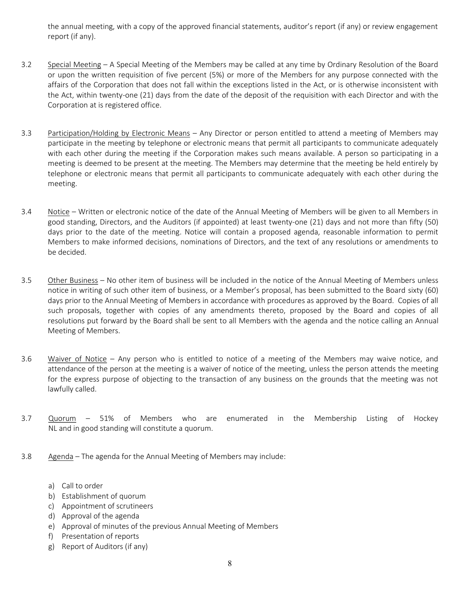the annual meeting, with a copy of the approved financial statements, auditor's report (if any) or review engagement report (if any).

- 3.2 Special Meeting A Special Meeting of the Members may be called at any time by Ordinary Resolution of the Board or upon the written requisition of five percent (5%) or more of the Members for any purpose connected with the affairs of the Corporation that does not fall within the exceptions listed in the Act, or is otherwise inconsistent with the Act, within twenty-one (21) days from the date of the deposit of the requisition with each Director and with the Corporation at is registered office.
- 3.3 Participation/Holding by Electronic Means Any Director or person entitled to attend a meeting of Members may participate in the meeting by telephone or electronic means that permit all participants to communicate adequately with each other during the meeting if the Corporation makes such means available. A person so participating in a meeting is deemed to be present at the meeting. The Members may determine that the meeting be held entirely by telephone or electronic means that permit all participants to communicate adequately with each other during the meeting.
- 3.4 Notice Written or electronic notice of the date of the Annual Meeting of Members will be given to all Members in good standing, Directors, and the Auditors (if appointed) at least twenty-one (21) days and not more than fifty (50) days prior to the date of the meeting. Notice will contain a proposed agenda, reasonable information to permit Members to make informed decisions, nominations of Directors, and the text of any resolutions or amendments to be decided.
- 3.5 Other Business No other item of business will be included in the notice of the Annual Meeting of Members unless notice in writing of such other item of business, or a Member's proposal, has been submitted to the Board sixty (60) days prior to the Annual Meeting of Members in accordance with procedures as approved by the Board. Copies of all such proposals, together with copies of any amendments thereto, proposed by the Board and copies of all resolutions put forward by the Board shall be sent to all Members with the agenda and the notice calling an Annual Meeting of Members.
- 3.6 Waiver of Notice Any person who is entitled to notice of a meeting of the Members may waive notice, and attendance of the person at the meeting is a waiver of notice of the meeting, unless the person attends the meeting for the express purpose of objecting to the transaction of any business on the grounds that the meeting was not lawfully called.
- 3.7 Quorum 51% of Members who are enumerated in the Membership Listing of Hockey NL and in good standing will constitute a quorum.
- 3.8 Agenda The agenda for the Annual Meeting of Members may include:
	- a) Call to order
	- b) Establishment of quorum
	- c) Appointment of scrutineers
	- d) Approval of the agenda
	- e) Approval of minutes of the previous Annual Meeting of Members
	- f) Presentation of reports
	- g) Report of Auditors (if any)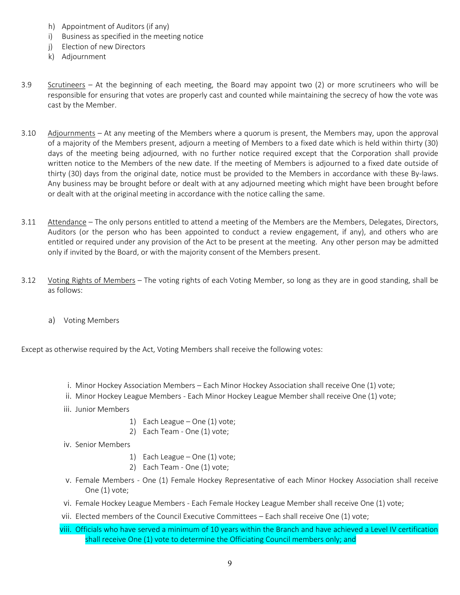- h) Appointment of Auditors (if any)
- i) Business as specified in the meeting notice
- j) Election of new Directors
- k) Adjournment
- 3.9 Scrutineers At the beginning of each meeting, the Board may appoint two (2) or more scrutineers who will be responsible for ensuring that votes are properly cast and counted while maintaining the secrecy of how the vote was cast by the Member.
- 3.10 Adjournments At any meeting of the Members where a quorum is present, the Members may, upon the approval of a majority of the Members present, adjourn a meeting of Members to a fixed date which is held within thirty (30) days of the meeting being adjourned, with no further notice required except that the Corporation shall provide written notice to the Members of the new date. If the meeting of Members is adjourned to a fixed date outside of thirty (30) days from the original date, notice must be provided to the Members in accordance with these By-laws. Any business may be brought before or dealt with at any adjourned meeting which might have been brought before or dealt with at the original meeting in accordance with the notice calling the same.
- 3.11 Attendance The only persons entitled to attend a meeting of the Members are the Members, Delegates, Directors, Auditors (or the person who has been appointed to conduct a review engagement, if any), and others who are entitled or required under any provision of the Act to be present at the meeting. Any other person may be admitted only if invited by the Board, or with the majority consent of the Members present.
- 3.12 Voting Rights of Members The voting rights of each Voting Member, so long as they are in good standing, shall be as follows:
	- a) Voting Members

Except as otherwise required by the Act, Voting Members shall receive the following votes:

- i. Minor Hockey Association Members Each Minor Hockey Association shall receive One (1) vote;
- ii. Minor Hockey League Members Each Minor Hockey League Member shall receive One (1) vote;
- iii. Junior Members
	- 1) Each League One (1) vote;
	- 2) Each Team One (1) vote;
- iv. Senior Members
	- 1) Each League One (1) vote;
	- 2) Each Team One (1) vote;
- v. Female Members One (1) Female Hockey Representative of each Minor Hockey Association shall receive One (1) vote;
- vi. Female Hockey League Members Each Female Hockey League Member shall receive One (1) vote;
- vii. Elected members of the Council Executive Committees Each shall receive One (1) vote;
- viii. Officials who have served a minimum of 10 years within the Branch and have achieved a Level IV certification shall receive One (1) vote to determine the Officiating Council members only; and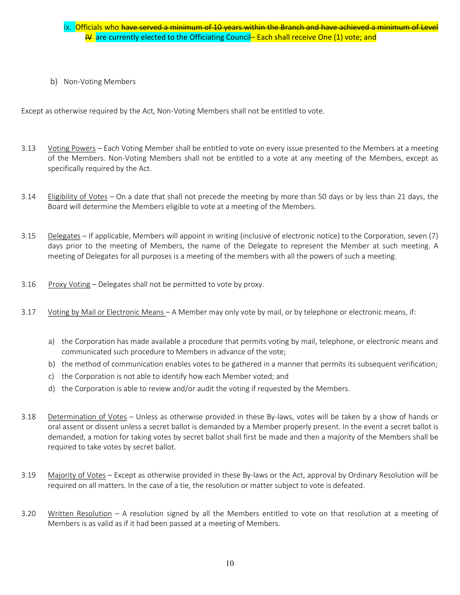## ix. Officials who have served a minimum of 10 years within the Branch and have achieved a minimum of Level  $\frac{14}{10}$  are currently elected to the Officiating Council-Each shall receive One (1) vote; and

b) Non-Voting Members

Except as otherwise required by the Act, Non-Voting Members shall not be entitled to vote.

- 3.13 Voting Powers Each Voting Member shall be entitled to vote on every issue presented to the Members at a meeting of the Members. Non-Voting Members shall not be entitled to a vote at any meeting of the Members, except as specifically required by the Act.
- 3.14 Eligibility of Votes On a date that shall not precede the meeting by more than 50 days or by less than 21 days, the Board will determine the Members eligible to vote at a meeting of the Members.
- 3.15 Delegates If applicable, Members will appoint in writing (inclusive of electronic notice) to the Corporation, seven (7) days prior to the meeting of Members, the name of the Delegate to represent the Member at such meeting. A meeting of Delegates for all purposes is a meeting of the members with all the powers of such a meeting.
- 3.16 Proxy Voting Delegates shall not be permitted to vote by proxy.
- 3.17 Voting by Mail or Electronic Means A Member may only vote by mail, or by telephone or electronic means, if:
	- a) the Corporation has made available a procedure that permits voting by mail, telephone, or electronic means and communicated such procedure to Members in advance of the vote;
	- b) the method of communication enables votes to be gathered in a manner that permits its subsequent verification;
	- c) the Corporation is not able to identify how each Member voted; and
	- d) the Corporation is able to review and/or audit the voting if requested by the Members.
- 3.18 Determination of Votes Unless as otherwise provided in these By-laws, votes will be taken by a show of hands or oral assent or dissent unless a secret ballot is demanded by a Member properly present. In the event a secret ballot is demanded, a motion for taking votes by secret ballot shall first be made and then a majority of the Members shall be required to take votes by secret ballot.
- 3.19 Majority of Votes Except as otherwise provided in these By-laws or the Act, approval by Ordinary Resolution will be required on all matters. In the case of a tie, the resolution or matter subject to vote is defeated.
- 3.20 Written Resolution A resolution signed by all the Members entitled to vote on that resolution at a meeting of Members is as valid as if it had been passed at a meeting of Members.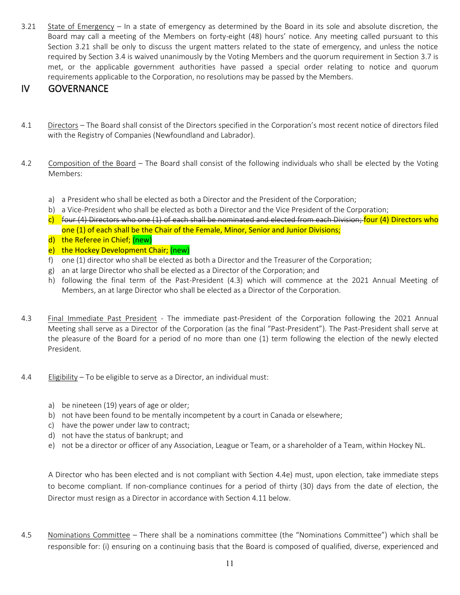3.21 State of Emergency – In a state of emergency as determined by the Board in its sole and absolute discretion, the Board may call a meeting of the Members on forty-eight (48) hours' notice. Any meeting called pursuant to this Section 3.21 shall be only to discuss the urgent matters related to the state of emergency, and unless the notice required by Section 3.4 is waived unanimously by the Voting Members and the quorum requirement in Section 3.7 is met, or the applicable government authorities have passed a special order relating to notice and quorum requirements applicable to the Corporation, no resolutions may be passed by the Members.

## IV GOVERNANCE

- 4.1 Directors The Board shall consist of the Directors specified in the Corporation's most recent notice of directors filed with the Registry of Companies (Newfoundland and Labrador).
- 4.2 Composition of the Board The Board shall consist of the following individuals who shall be elected by the Voting Members:
	- a) a President who shall be elected as both a Director and the President of the Corporation;
	- b) a Vice-President who shall be elected as both a Director and the Vice President of the Corporation;
	- $c)$  four (4) Directors who one (1) of each shall be nominated and elected from each Division; four (4) Directors who one (1) of each shall be the Chair of the Female, Minor, Senior and Junior Divisions;
	- d) the Referee in Chief; (new)
	- e) the Hockey Development Chair; (new)
	- f) one (1) director who shall be elected as both a Director and the Treasurer of the Corporation;
	- g) an at large Director who shall be elected as a Director of the Corporation; and
	- h) following the final term of the Past-President (4.3) which will commence at the 2021 Annual Meeting of Members, an at large Director who shall be elected as a Director of the Corporation.
- 4.3 Final Immediate Past President The immediate past-President of the Corporation following the 2021 Annual Meeting shall serve as a Director of the Corporation (as the final "Past-President"). The Past-President shall serve at the pleasure of the Board for a period of no more than one (1) term following the election of the newly elected President.
- 4.4 Eligibility To be eligible to serve as a Director, an individual must:
	- a) be nineteen (19) years of age or older;
	- b) not have been found to be mentally incompetent by a court in Canada or elsewhere;
	- c) have the power under law to contract;
	- d) not have the status of bankrupt; and
	- e) not be a director or officer of any Association, League or Team, or a shareholder of a Team, within Hockey NL.

A Director who has been elected and is not compliant with Section 4.4e) must, upon election, take immediate steps to become compliant. If non-compliance continues for a period of thirty (30) days from the date of election, the Director must resign as a Director in accordance with Section 4.11 below.

4.5 Nominations Committee – There shall be a nominations committee (the "Nominations Committee") which shall be responsible for: (i) ensuring on a continuing basis that the Board is composed of qualified, diverse, experienced and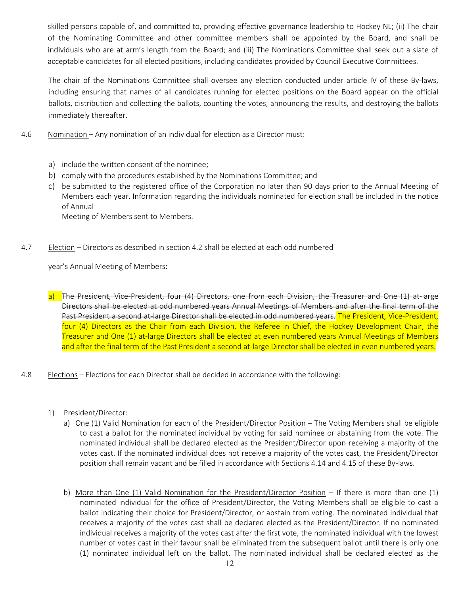skilled persons capable of, and committed to, providing effective governance leadership to Hockey NL; (ii) The chair of the Nominating Committee and other committee members shall be appointed by the Board, and shall be individuals who are at arm's length from the Board; and (iii) The Nominations Committee shall seek out a slate of acceptable candidates for all elected positions, including candidates provided by Council Executive Committees.

The chair of the Nominations Committee shall oversee any election conducted under article IV of these By-laws, including ensuring that names of all candidates running for elected positions on the Board appear on the official ballots, distribution and collecting the ballots, counting the votes, announcing the results, and destroying the ballots immediately thereafter.

- 4.6 Nomination Any nomination of an individual for election as a Director must:
	- a) include the written consent of the nominee;
	- b) comply with the procedures established by the Nominations Committee; and
	- c) be submitted to the registered office of the Corporation no later than 90 days prior to the Annual Meeting of Members each year. Information regarding the individuals nominated for election shall be included in the notice of Annual

Meeting of Members sent to Members.

4.7 Election – Directors as described in section 4.2 shall be elected at each odd numbered

year's Annual Meeting of Members:

a) The President, Vice-President, four (4) Directors, one from each Division, the Treasurer and One (1) at-large Directors shall be elected at odd numbered years Annual Meetings of Members and after the final term of the Past President a second at-large Director shall be elected in odd numbered years. The President, Vice-President, four (4) Directors as the Chair from each Division, the Referee in Chief, the Hockey Development Chair, the Treasurer and One (1) at-large Directors shall be elected at even numbered years Annual Meetings of Members and after the final term of the Past President a second at-large Director shall be elected in even numbered years.

- 4.8 Elections Elections for each Director shall be decided in accordance with the following:
	- 1) President/Director:
		- a) One (1) Valid Nomination for each of the President/Director Position The Voting Members shall be eligible to cast a ballot for the nominated individual by voting for said nominee or abstaining from the vote. The nominated individual shall be declared elected as the President/Director upon receiving a majority of the votes cast. If the nominated individual does not receive a majority of the votes cast, the President/Director position shall remain vacant and be filled in accordance with Sections 4.14 and 4.15 of these By-laws.
		- b) More than One (1) Valid Nomination for the President/Director Position If there is more than one (1) nominated individual for the office of President/Director, the Voting Members shall be eligible to cast a ballot indicating their choice for President/Director, or abstain from voting. The nominated individual that receives a majority of the votes cast shall be declared elected as the President/Director. If no nominated individual receives a majority of the votes cast after the first vote, the nominated individual with the lowest number of votes cast in their favour shall be eliminated from the subsequent ballot until there is only one (1) nominated individual left on the ballot. The nominated individual shall be declared elected as the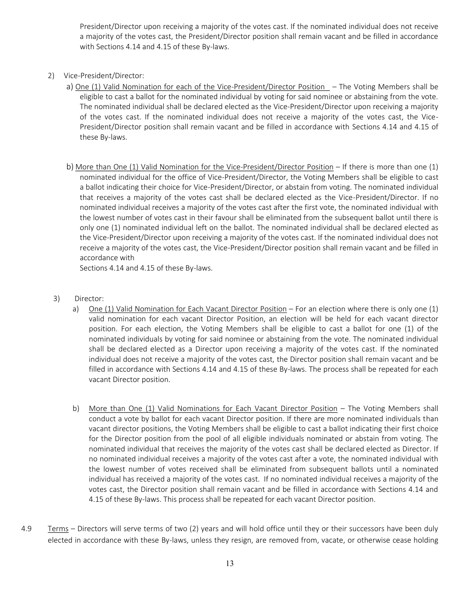President/Director upon receiving a majority of the votes cast. If the nominated individual does not receive a majority of the votes cast, the President/Director position shall remain vacant and be filled in accordance with Sections 4.14 and 4.15 of these By-laws.

- 2) Vice-President/Director:
	- a) One (1) Valid Nomination for each of the Vice-President/Director Position The Voting Members shall be eligible to cast a ballot for the nominated individual by voting for said nominee or abstaining from the vote. The nominated individual shall be declared elected as the Vice-President/Director upon receiving a majority of the votes cast. If the nominated individual does not receive a majority of the votes cast, the Vice-President/Director position shall remain vacant and be filled in accordance with Sections 4.14 and 4.15 of these By-laws.
	- b) More than One (1) Valid Nomination for the Vice-President/Director Position If there is more than one (1) nominated individual for the office of Vice-President/Director, the Voting Members shall be eligible to cast a ballot indicating their choice for Vice-President/Director, or abstain from voting. The nominated individual that receives a majority of the votes cast shall be declared elected as the Vice-President/Director. If no nominated individual receives a majority of the votes cast after the first vote, the nominated individual with the lowest number of votes cast in their favour shall be eliminated from the subsequent ballot until there is only one (1) nominated individual left on the ballot. The nominated individual shall be declared elected as the Vice-President/Director upon receiving a majority of the votes cast. If the nominated individual does not receive a majority of the votes cast, the Vice-President/Director position shall remain vacant and be filled in accordance with

Sections 4.14 and 4.15 of these By-laws.

#### 3) Director:

- a) One (1) Valid Nomination for Each Vacant Director Position For an election where there is only one (1) valid nomination for each vacant Director Position, an election will be held for each vacant director position. For each election, the Voting Members shall be eligible to cast a ballot for one (1) of the nominated individuals by voting for said nominee or abstaining from the vote. The nominated individual shall be declared elected as a Director upon receiving a majority of the votes cast. If the nominated individual does not receive a majority of the votes cast, the Director position shall remain vacant and be filled in accordance with Sections 4.14 and 4.15 of these By-laws. The process shall be repeated for each vacant Director position.
- b) More than One (1) Valid Nominations for Each Vacant Director Position The Voting Members shall conduct a vote by ballot for each vacant Director position. If there are more nominated individuals than vacant director positions, the Voting Members shall be eligible to cast a ballot indicating their first choice for the Director position from the pool of all eligible individuals nominated or abstain from voting. The nominated individual that receives the majority of the votes cast shall be declared elected as Director. If no nominated individual receives a majority of the votes cast after a vote, the nominated individual with the lowest number of votes received shall be eliminated from subsequent ballots until a nominated individual has received a majority of the votes cast. If no nominated individual receives a majority of the votes cast, the Director position shall remain vacant and be filled in accordance with Sections 4.14 and 4.15 of these By-laws. This process shall be repeated for each vacant Director position.
- 4.9 Terms Directors will serve terms of two (2) years and will hold office until they or their successors have been duly elected in accordance with these By-laws, unless they resign, are removed from, vacate, or otherwise cease holding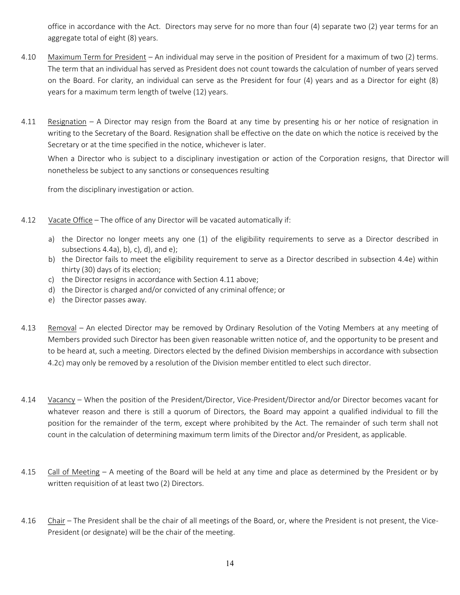office in accordance with the Act. Directors may serve for no more than four (4) separate two (2) year terms for an aggregate total of eight (8) years.

- 4.10 Maximum Term for President An individual may serve in the position of President for a maximum of two (2) terms. The term that an individual has served as President does not count towards the calculation of number of years served on the Board. For clarity, an individual can serve as the President for four (4) years and as a Director for eight (8) years for a maximum term length of twelve (12) years.
- 4.11 Resignation A Director may resign from the Board at any time by presenting his or her notice of resignation in writing to the Secretary of the Board. Resignation shall be effective on the date on which the notice is received by the Secretary or at the time specified in the notice, whichever is later.

When a Director who is subject to a disciplinary investigation or action of the Corporation resigns, that Director will nonetheless be subject to any sanctions or consequences resulting

from the disciplinary investigation or action.

- 4.12 Vacate Office The office of any Director will be vacated automatically if:
	- a) the Director no longer meets any one (1) of the eligibility requirements to serve as a Director described in subsections  $4.4a$ , b), c), d), and e);
	- b) the Director fails to meet the eligibility requirement to serve as a Director described in subsection 4.4e) within thirty (30) days of its election;
	- c) the Director resigns in accordance with Section 4.11 above;
	- d) the Director is charged and/or convicted of any criminal offence; or
	- e) the Director passes away.
- 4.13 Removal An elected Director may be removed by Ordinary Resolution of the Voting Members at any meeting of Members provided such Director has been given reasonable written notice of, and the opportunity to be present and to be heard at, such a meeting. Directors elected by the defined Division memberships in accordance with subsection 4.2c) may only be removed by a resolution of the Division member entitled to elect such director.
- 4.14 Vacancy When the position of the President/Director, Vice-President/Director and/or Director becomes vacant for whatever reason and there is still a quorum of Directors, the Board may appoint a qualified individual to fill the position for the remainder of the term, except where prohibited by the Act. The remainder of such term shall not count in the calculation of determining maximum term limits of the Director and/or President, as applicable.
- 4.15 Call of Meeting A meeting of the Board will be held at any time and place as determined by the President or by written requisition of at least two (2) Directors.
- 4.16 Chair The President shall be the chair of all meetings of the Board, or, where the President is not present, the Vice-President (or designate) will be the chair of the meeting.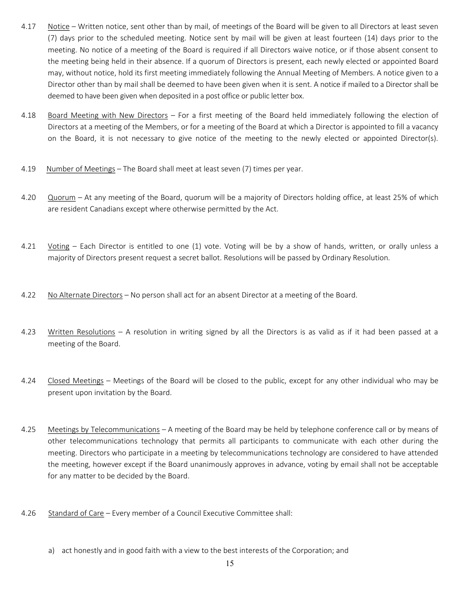- 4.17 Notice Written notice, sent other than by mail, of meetings of the Board will be given to all Directors at least seven (7) days prior to the scheduled meeting. Notice sent by mail will be given at least fourteen (14) days prior to the meeting. No notice of a meeting of the Board is required if all Directors waive notice, or if those absent consent to the meeting being held in their absence. If a quorum of Directors is present, each newly elected or appointed Board may, without notice, hold its first meeting immediately following the Annual Meeting of Members. A notice given to a Director other than by mail shall be deemed to have been given when it is sent. A notice if mailed to a Director shall be deemed to have been given when deposited in a post office or public letter box.
- 4.18 Board Meeting with New Directors For a first meeting of the Board held immediately following the election of Directors at a meeting of the Members, or for a meeting of the Board at which a Director is appointed to fill a vacancy on the Board, it is not necessary to give notice of the meeting to the newly elected or appointed Director(s).
- 4.19 Number of Meetings The Board shall meet at least seven (7) times per year.
- 4.20 Quorum At any meeting of the Board, quorum will be a majority of Directors holding office, at least 25% of which are resident Canadians except where otherwise permitted by the Act.
- 4.21 Voting Each Director is entitled to one (1) vote. Voting will be by a show of hands, written, or orally unless a majority of Directors present request a secret ballot. Resolutions will be passed by Ordinary Resolution.
- 4.22 No Alternate Directors No person shall act for an absent Director at a meeting of the Board.
- 4.23 Written Resolutions A resolution in writing signed by all the Directors is as valid as if it had been passed at a meeting of the Board.
- 4.24 Closed Meetings Meetings of the Board will be closed to the public, except for any other individual who may be present upon invitation by the Board.
- 4.25 Meetings by Telecommunications A meeting of the Board may be held by telephone conference call or by means of other telecommunications technology that permits all participants to communicate with each other during the meeting. Directors who participate in a meeting by telecommunications technology are considered to have attended the meeting, however except if the Board unanimously approves in advance, voting by email shall not be acceptable for any matter to be decided by the Board.
- 4.26 Standard of Care Every member of a Council Executive Committee shall:
	- a) act honestly and in good faith with a view to the best interests of the Corporation; and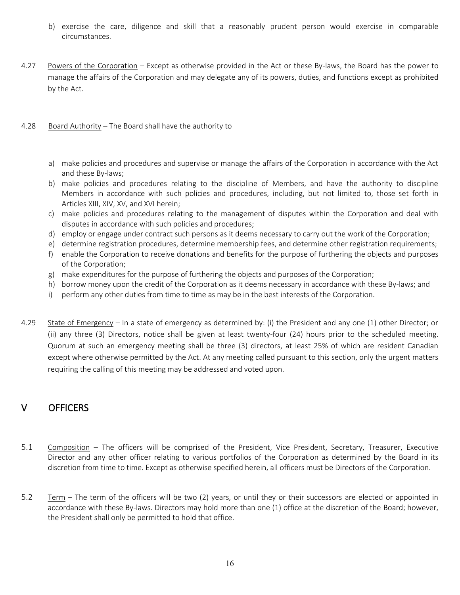- b) exercise the care, diligence and skill that a reasonably prudent person would exercise in comparable circumstances.
- 4.27 Powers of the Corporation Except as otherwise provided in the Act or these By-laws, the Board has the power to manage the affairs of the Corporation and may delegate any of its powers, duties, and functions except as prohibited by the Act.
- 4.28 Board Authority The Board shall have the authority to
	- a) make policies and procedures and supervise or manage the affairs of the Corporation in accordance with the Act and these By-laws;
	- b) make policies and procedures relating to the discipline of Members, and have the authority to discipline Members in accordance with such policies and procedures, including, but not limited to, those set forth in Articles XIII, XIV, XV, and XVI herein;
	- c) make policies and procedures relating to the management of disputes within the Corporation and deal with disputes in accordance with such policies and procedures;
	- d) employ or engage under contract such persons as it deems necessary to carry out the work of the Corporation;
	- e) determine registration procedures, determine membership fees, and determine other registration requirements;
	- f) enable the Corporation to receive donations and benefits for the purpose of furthering the objects and purposes of the Corporation;
	- g) make expenditures for the purpose of furthering the objects and purposes of the Corporation;
	- h) borrow money upon the credit of the Corporation as it deems necessary in accordance with these By-laws; and
	- i) perform any other duties from time to time as may be in the best interests of the Corporation.
- 4.29 State of Emergency In a state of emergency as determined by: (i) the President and any one (1) other Director; or (ii) any three (3) Directors, notice shall be given at least twenty-four (24) hours prior to the scheduled meeting. Quorum at such an emergency meeting shall be three (3) directors, at least 25% of which are resident Canadian except where otherwise permitted by the Act. At any meeting called pursuant to this section, only the urgent matters requiring the calling of this meeting may be addressed and voted upon.

## V OFFICERS

- 5.1 Composition The officers will be comprised of the President, Vice President, Secretary, Treasurer, Executive Director and any other officer relating to various portfolios of the Corporation as determined by the Board in its discretion from time to time. Except as otherwise specified herein, all officers must be Directors of the Corporation.
- 5.2 Term The term of the officers will be two (2) years, or until they or their successors are elected or appointed in accordance with these By-laws. Directors may hold more than one (1) office at the discretion of the Board; however, the President shall only be permitted to hold that office.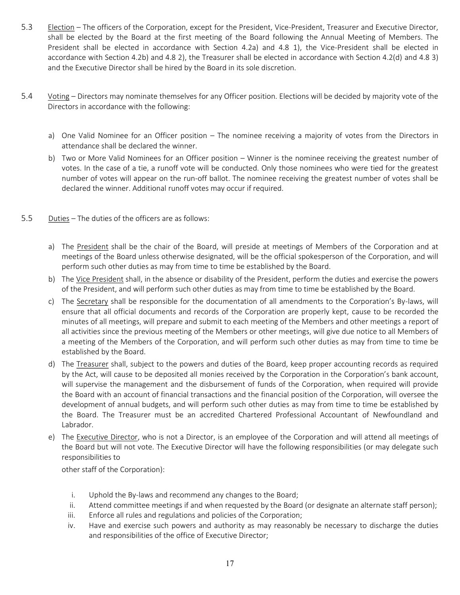- 5.3 Election The officers of the Corporation, except for the President, Vice-President, Treasurer and Executive Director, shall be elected by the Board at the first meeting of the Board following the Annual Meeting of Members. The President shall be elected in accordance with Section 4.2a) and 4.8 1), the Vice-President shall be elected in accordance with Section 4.2b) and 4.8 2), the Treasurer shall be elected in accordance with Section 4.2(d) and 4.8 3) and the Executive Director shall be hired by the Board in its sole discretion.
- 5.4 Voting Directors may nominate themselves for any Officer position. Elections will be decided by majority vote of the Directors in accordance with the following:
	- a) One Valid Nominee for an Officer position The nominee receiving a majority of votes from the Directors in attendance shall be declared the winner.
	- b) Two or More Valid Nominees for an Officer position Winner is the nominee receiving the greatest number of votes. In the case of a tie, a runoff vote will be conducted. Only those nominees who were tied for the greatest number of votes will appear on the run-off ballot. The nominee receiving the greatest number of votes shall be declared the winner. Additional runoff votes may occur if required.
- 5.5 Duties The duties of the officers are as follows:
	- a) The President shall be the chair of the Board, will preside at meetings of Members of the Corporation and at meetings of the Board unless otherwise designated, will be the official spokesperson of the Corporation, and will perform such other duties as may from time to time be established by the Board.
	- b) The Vice President shall, in the absence or disability of the President, perform the duties and exercise the powers of the President, and will perform such other duties as may from time to time be established by the Board.
	- c) The Secretary shall be responsible for the documentation of all amendments to the Corporation's By-laws, will ensure that all official documents and records of the Corporation are properly kept, cause to be recorded the minutes of all meetings, will prepare and submit to each meeting of the Members and other meetings a report of all activities since the previous meeting of the Members or other meetings, will give due notice to all Members of a meeting of the Members of the Corporation, and will perform such other duties as may from time to time be established by the Board.
	- d) The Treasurer shall, subject to the powers and duties of the Board, keep proper accounting records as required by the Act, will cause to be deposited all monies received by the Corporation in the Corporation's bank account, will supervise the management and the disbursement of funds of the Corporation, when required will provide the Board with an account of financial transactions and the financial position of the Corporation, will oversee the development of annual budgets, and will perform such other duties as may from time to time be established by the Board. The Treasurer must be an accredited Chartered Professional Accountant of Newfoundland and Labrador.
	- e) The Executive Director, who is not a Director, is an employee of the Corporation and will attend all meetings of the Board but will not vote. The Executive Director will have the following responsibilities (or may delegate such responsibilities to

other staff of the Corporation):

- i. Uphold the By-laws and recommend any changes to the Board;
- ii. Attend committee meetings if and when requested by the Board (or designate an alternate staff person);
- iii. Enforce all rules and regulations and policies of the Corporation;
- iv. Have and exercise such powers and authority as may reasonably be necessary to discharge the duties and responsibilities of the office of Executive Director;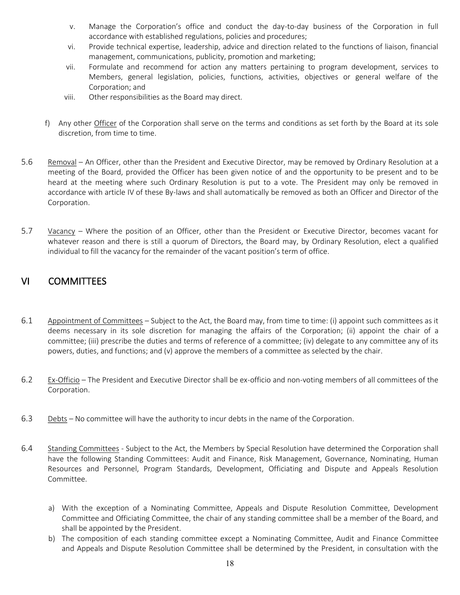- v. Manage the Corporation's office and conduct the day-to-day business of the Corporation in full accordance with established regulations, policies and procedures;
- vi. Provide technical expertise, leadership, advice and direction related to the functions of liaison, financial management, communications, publicity, promotion and marketing;
- vii. Formulate and recommend for action any matters pertaining to program development, services to Members, general legislation, policies, functions, activities, objectives or general welfare of the Corporation; and
- viii. Other responsibilities as the Board may direct.
- f) Any other Officer of the Corporation shall serve on the terms and conditions as set forth by the Board at its sole discretion, from time to time.
- 5.6 Removal An Officer, other than the President and Executive Director, may be removed by Ordinary Resolution at a meeting of the Board, provided the Officer has been given notice of and the opportunity to be present and to be heard at the meeting where such Ordinary Resolution is put to a vote. The President may only be removed in accordance with article IV of these By-laws and shall automatically be removed as both an Officer and Director of the Corporation.
- 5.7 Vacancy Where the position of an Officer, other than the President or Executive Director, becomes vacant for whatever reason and there is still a quorum of Directors, the Board may, by Ordinary Resolution, elect a qualified individual to fill the vacancy for the remainder of the vacant position's term of office.

## VI COMMITTEES

- 6.1 Appointment of Committees Subject to the Act, the Board may, from time to time: (i) appoint such committees as it deems necessary in its sole discretion for managing the affairs of the Corporation; (ii) appoint the chair of a committee; (iii) prescribe the duties and terms of reference of a committee; (iv) delegate to any committee any of its powers, duties, and functions; and (v) approve the members of a committee as selected by the chair.
- 6.2 Ex-Officio The President and Executive Director shall be ex-officio and non-voting members of all committees of the Corporation.
- 6.3 Debts No committee will have the authority to incur debts in the name of the Corporation.
- 6.4 Standing Committees Subject to the Act, the Members by Special Resolution have determined the Corporation shall have the following Standing Committees: Audit and Finance, Risk Management, Governance, Nominating, Human Resources and Personnel, Program Standards, Development, Officiating and Dispute and Appeals Resolution Committee.
	- a) With the exception of a Nominating Committee, Appeals and Dispute Resolution Committee, Development Committee and Officiating Committee, the chair of any standing committee shall be a member of the Board, and shall be appointed by the President.
	- b) The composition of each standing committee except a Nominating Committee, Audit and Finance Committee and Appeals and Dispute Resolution Committee shall be determined by the President, in consultation with the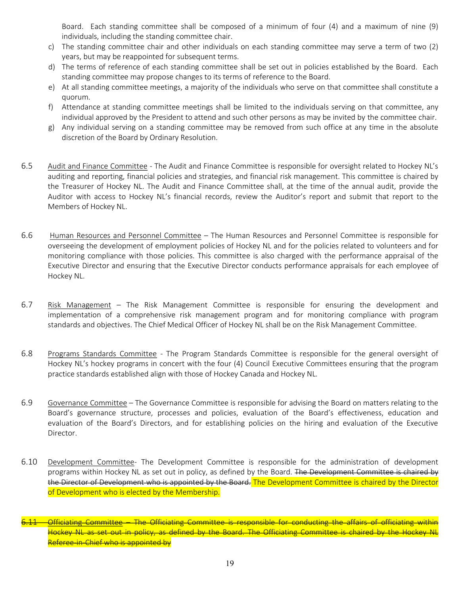Board. Each standing committee shall be composed of a minimum of four (4) and a maximum of nine (9) individuals, including the standing committee chair.

- c) The standing committee chair and other individuals on each standing committee may serve a term of two (2) years, but may be reappointed for subsequent terms.
- d) The terms of reference of each standing committee shall be set out in policies established by the Board. Each standing committee may propose changes to its terms of reference to the Board.
- e) At all standing committee meetings, a majority of the individuals who serve on that committee shall constitute a quorum.
- f) Attendance at standing committee meetings shall be limited to the individuals serving on that committee, any individual approved by the President to attend and such other persons as may be invited by the committee chair.
- g) Any individual serving on a standing committee may be removed from such office at any time in the absolute discretion of the Board by Ordinary Resolution.
- 6.5 Audit and Finance Committee The Audit and Finance Committee is responsible for oversight related to Hockey NL's auditing and reporting, financial policies and strategies, and financial risk management. This committee is chaired by the Treasurer of Hockey NL. The Audit and Finance Committee shall, at the time of the annual audit, provide the Auditor with access to Hockey NL's financial records, review the Auditor's report and submit that report to the Members of Hockey NL.
- 6.6 Human Resources and Personnel Committee The Human Resources and Personnel Committee is responsible for overseeing the development of employment policies of Hockey NL and for the policies related to volunteers and for monitoring compliance with those policies. This committee is also charged with the performance appraisal of the Executive Director and ensuring that the Executive Director conducts performance appraisals for each employee of Hockey NL.
- 6.7 Risk Management The Risk Management Committee is responsible for ensuring the development and implementation of a comprehensive risk management program and for monitoring compliance with program standards and objectives. The Chief Medical Officer of Hockey NL shall be on the Risk Management Committee.
- 6.8 Programs Standards Committee The Program Standards Committee is responsible for the general oversight of Hockey NL's hockey programs in concert with the four (4) Council Executive Committees ensuring that the program practice standards established align with those of Hockey Canada and Hockey NL.
- 6.9 Governance Committee The Governance Committee is responsible for advising the Board on matters relating to the Board's governance structure, processes and policies, evaluation of the Board's effectiveness, education and evaluation of the Board's Directors, and for establishing policies on the hiring and evaluation of the Executive Director.
- 6.10 Development Committee- The Development Committee is responsible for the administration of development programs within Hockey NL as set out in policy, as defined by the Board. The Development Committee is chaired by the Director of Development who is appointed by the Board. The Development Committee is chaired by the Director of Development who is elected by the Membership.
- Officiating Committee The Officiating Committee is responsible for conducting the affairs of officiating within Hockey NL as set out in policy, as defined by the Board. The Officiating Committee is chaired by the Hockey NL Referee-in-Chief who is appointed by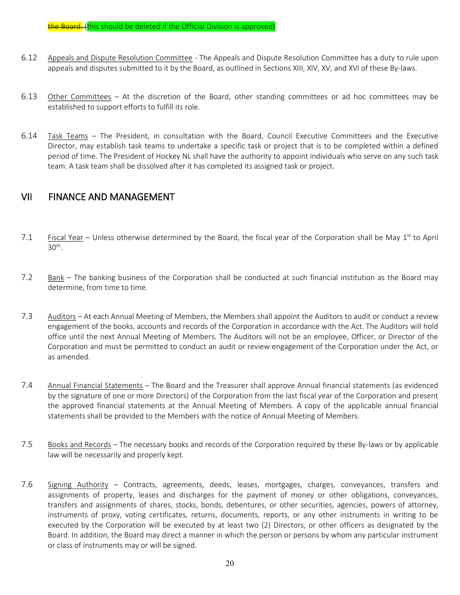the Board. (this should be deleted if the Official Division is approved)

- 6.12 Appeals and Dispute Resolution Committee The Appeals and Dispute Resolution Committee has a duty to rule upon appeals and disputes submitted to it by the Board, as outlined in Sections XIII, XIV, XV, and XVI of these By-laws.
- 6.13 Other Committees At the discretion of the Board, other standing committees or ad hoc committees may be established to support efforts to fulfill its role.
- 6.14 Task Teams The President, in consultation with the Board, Council Executive Committees and the Executive Director, may establish task teams to undertake a specific task or project that is to be completed within a defined period of time. The President of Hockey NL shall have the authority to appoint individuals who serve on any such task team. A task team shall be dissolved after it has completed its assigned task or project.

## VII FINANCE AND MANAGEMENT

- 7.1 Fiscal Year Unless otherwise determined by the Board, the fiscal year of the Corporation shall be May  $1^{st}$  to April  $30<sup>th</sup>$ .
- 7.2 Bank The banking business of the Corporation shall be conducted at such financial institution as the Board may determine, from time to time.
- 7.3 Auditors At each Annual Meeting of Members, the Members shall appoint the Auditors to audit or conduct a review engagement of the books, accounts and records of the Corporation in accordance with the Act. The Auditors will hold office until the next Annual Meeting of Members. The Auditors will not be an employee, Officer, or Director of the Corporation and must be permitted to conduct an audit or review engagement of the Corporation under the Act, or as amended.
- 7.4 Annual Financial Statements The Board and the Treasurer shall approve Annual financial statements (as evidenced by the signature of one or more Directors) of the Corporation from the last fiscal year of the Corporation and present the approved financial statements at the Annual Meeting of Members. A copy of the applicable annual financial statements shall be provided to the Members with the notice of Annual Meeting of Members.
- 7.5 Books and Records The necessary books and records of the Corporation required by these By-laws or by applicable law will be necessarily and properly kept.
- 7.6 Signing Authority Contracts, agreements, deeds, leases, mortgages, charges, conveyances, transfers and assignments of property, leases and discharges for the payment of money or other obligations, conveyances, transfers and assignments of shares, stocks, bonds, debentures, or other securities, agencies, powers of attorney, instruments of proxy, voting certificates, returns, documents, reports, or any other instruments in writing to be executed by the Corporation will be executed by at least two (2) Directors, or other officers as designated by the Board. In addition, the Board may direct a manner in which the person or persons by whom any particular instrument or class of instruments may or will be signed.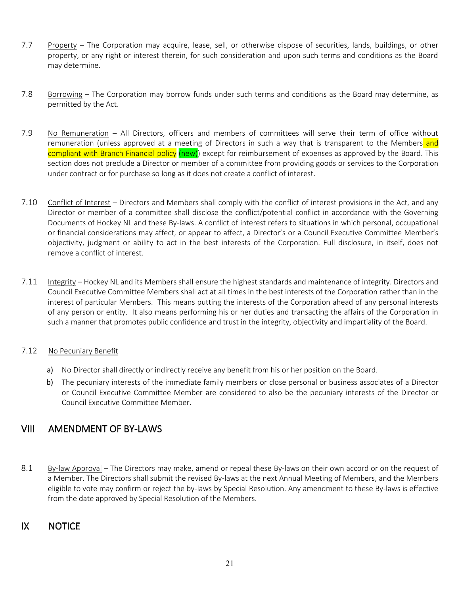- 7.7 Property The Corporation may acquire, lease, sell, or otherwise dispose of securities, lands, buildings, or other property, or any right or interest therein, for such consideration and upon such terms and conditions as the Board may determine.
- 7.8 Borrowing The Corporation may borrow funds under such terms and conditions as the Board may determine, as permitted by the Act.
- 7.9 No Remuneration All Directors, officers and members of committees will serve their term of office without remuneration (unless approved at a meeting of Directors in such a way that is transparent to the Members and compliant with Branch Financial policy (new)) except for reimbursement of expenses as approved by the Board. This section does not preclude a Director or member of a committee from providing goods or services to the Corporation under contract or for purchase so long as it does not create a conflict of interest.
- 7.10 Conflict of Interest Directors and Members shall comply with the conflict of interest provisions in the Act, and any Director or member of a committee shall disclose the conflict/potential conflict in accordance with the Governing Documents of Hockey NL and these By-laws. A conflict of interest refers to situations in which personal, occupational or financial considerations may affect, or appear to affect, a Director's or a Council Executive Committee Member's objectivity, judgment or ability to act in the best interests of the Corporation. Full disclosure, in itself, does not remove a conflict of interest.
- 7.11 Integrity Hockey NL and its Members shall ensure the highest standards and maintenance of integrity. Directors and Council Executive Committee Members shall act at all times in the best interests of the Corporation rather than in the interest of particular Members. This means putting the interests of the Corporation ahead of any personal interests of any person or entity. It also means performing his or her duties and transacting the affairs of the Corporation in such a manner that promotes public confidence and trust in the integrity, objectivity and impartiality of the Board.

## 7.12 No Pecuniary Benefit

- a) No Director shall directly or indirectly receive any benefit from his or her position on the Board.
- b) The pecuniary interests of the immediate family members or close personal or business associates of a Director or Council Executive Committee Member are considered to also be the pecuniary interests of the Director or Council Executive Committee Member.

## VIII AMENDMENT OF BY-LAWS

8.1 By-law Approval – The Directors may make, amend or repeal these By-laws on their own accord or on the request of a Member. The Directors shall submit the revised By-laws at the next Annual Meeting of Members, and the Members eligible to vote may confirm or reject the by-laws by Special Resolution. Any amendment to these By-laws is effective from the date approved by Special Resolution of the Members.

## IX NOTICE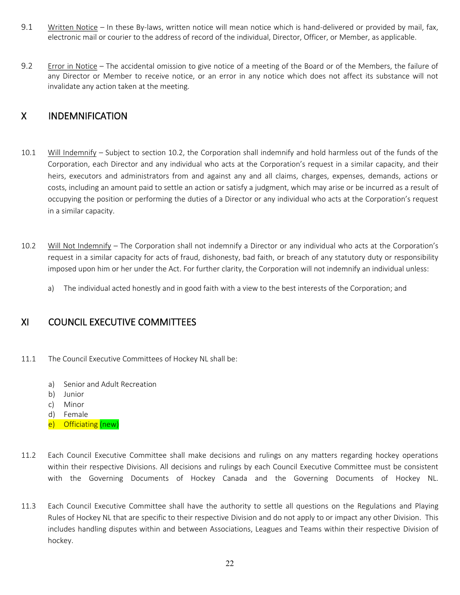- 9.1 Written Notice In these By-laws, written notice will mean notice which is hand-delivered or provided by mail, fax, electronic mail or courier to the address of record of the individual, Director, Officer, or Member, as applicable.
- 9.2 Error in Notice The accidental omission to give notice of a meeting of the Board or of the Members, the failure of any Director or Member to receive notice, or an error in any notice which does not affect its substance will not invalidate any action taken at the meeting.

## X INDEMNIFICATION

- 10.1 Will Indemnify Subject to section 10.2, the Corporation shall indemnify and hold harmless out of the funds of the Corporation, each Director and any individual who acts at the Corporation's request in a similar capacity, and their heirs, executors and administrators from and against any and all claims, charges, expenses, demands, actions or costs, including an amount paid to settle an action or satisfy a judgment, which may arise or be incurred as a result of occupying the position or performing the duties of a Director or any individual who acts at the Corporation's request in a similar capacity.
- 10.2 Will Not Indemnify The Corporation shall not indemnify a Director or any individual who acts at the Corporation's request in a similar capacity for acts of fraud, dishonesty, bad faith, or breach of any statutory duty or responsibility imposed upon him or her under the Act. For further clarity, the Corporation will not indemnify an individual unless:
	- a) The individual acted honestly and in good faith with a view to the best interests of the Corporation; and

## XI COUNCIL EXECUTIVE COMMITTEES

- 11.1 The Council Executive Committees of Hockey NL shall be:
	- a) Senior and Adult Recreation
	- b) Junior
	- c) Minor
	- d) Female
	- e) Officiating (new)
- 11.2 Each Council Executive Committee shall make decisions and rulings on any matters regarding hockey operations within their respective Divisions. All decisions and rulings by each Council Executive Committee must be consistent with the Governing Documents of Hockey Canada and the Governing Documents of Hockey NL.
- 11.3 Each Council Executive Committee shall have the authority to settle all questions on the Regulations and Playing Rules of Hockey NL that are specific to their respective Division and do not apply to or impact any other Division. This includes handling disputes within and between Associations, Leagues and Teams within their respective Division of hockey.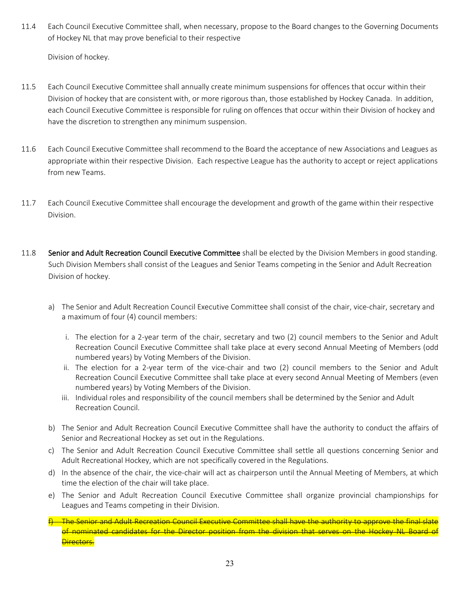11.4 Each Council Executive Committee shall, when necessary, propose to the Board changes to the Governing Documents of Hockey NL that may prove beneficial to their respective

Division of hockey.

- 11.5 Each Council Executive Committee shall annually create minimum suspensions for offences that occur within their Division of hockey that are consistent with, or more rigorous than, those established by Hockey Canada. In addition, each Council Executive Committee is responsible for ruling on offences that occur within their Division of hockey and have the discretion to strengthen any minimum suspension.
- 11.6 Each Council Executive Committee shall recommend to the Board the acceptance of new Associations and Leagues as appropriate within their respective Division. Each respective League has the authority to accept or reject applications from new Teams.
- 11.7 Each Council Executive Committee shall encourage the development and growth of the game within their respective Division.
- 11.8 Senior and Adult Recreation Council Executive Committee shall be elected by the Division Members in good standing. Such Division Members shall consist of the Leagues and Senior Teams competing in the Senior and Adult Recreation Division of hockey.
	- a) The Senior and Adult Recreation Council Executive Committee shall consist of the chair, vice-chair, secretary and a maximum of four (4) council members:
		- i. The election for a 2-year term of the chair, secretary and two (2) council members to the Senior and Adult Recreation Council Executive Committee shall take place at every second Annual Meeting of Members (odd numbered years) by Voting Members of the Division.
		- ii. The election for a 2-year term of the vice-chair and two (2) council members to the Senior and Adult Recreation Council Executive Committee shall take place at every second Annual Meeting of Members (even numbered years) by Voting Members of the Division.
		- iii. Individual roles and responsibility of the council members shall be determined by the Senior and Adult Recreation Council.
	- b) The Senior and Adult Recreation Council Executive Committee shall have the authority to conduct the affairs of Senior and Recreational Hockey as set out in the Regulations.
	- c) The Senior and Adult Recreation Council Executive Committee shall settle all questions concerning Senior and Adult Recreational Hockey, which are not specifically covered in the Regulations.
	- d) In the absence of the chair, the vice-chair will act as chairperson until the Annual Meeting of Members, at which time the election of the chair will take place.
	- e) The Senior and Adult Recreation Council Executive Committee shall organize provincial championships for Leagues and Teams competing in their Division.
	- f) The Senior and Adult Recreation Council Executive Committee shall have the authority to approve the final slate of nominated candidates for the Director position from the division that serves on the Hockey NL Board of **Directors.**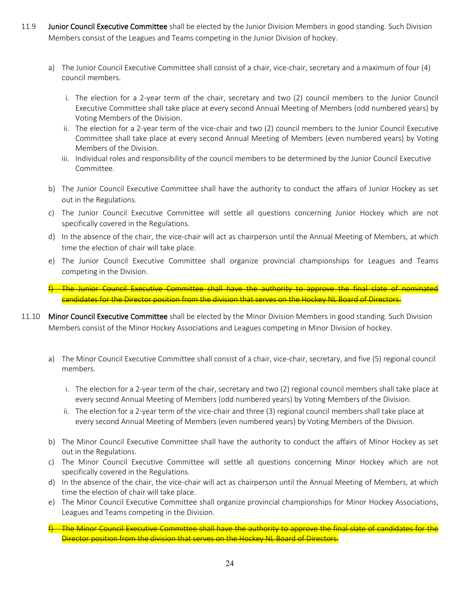- 11.9 Junior Council Executive Committee shall be elected by the Junior Division Members in good standing. Such Division Members consist of the Leagues and Teams competing in the Junior Division of hockey.
	- a) The Junior Council Executive Committee shall consist of a chair, vice-chair, secretary and a maximum of four (4) council members.
		- i. The election for a 2-year term of the chair, secretary and two (2) council members to the Junior Council Executive Committee shall take place at every second Annual Meeting of Members (odd numbered years) by Voting Members of the Division.
		- ii. The election for a 2-year term of the vice-chair and two (2) council members to the Junior Council Executive Committee shall take place at every second Annual Meeting of Members (even numbered years) by Voting Members of the Division.
		- iii. Individual roles and responsibility of the council members to be determined by the Junior Council Executive Committee.
	- b) The Junior Council Executive Committee shall have the authority to conduct the affairs of Junior Hockey as set out in the Regulations.
	- c) The Junior Council Executive Committee will settle all questions concerning Junior Hockey which are not specifically covered in the Regulations.
	- d) In the absence of the chair, the vice-chair will act as chairperson until the Annual Meeting of Members, at which time the election of chair will take place.
	- e) The Junior Council Executive Committee shall organize provincial championships for Leagues and Teams competing in the Division.
	- f) The Junior Council Executive Committee shall have the authority to approve the final slate of nominated candidates for the Director position from the division that serves on the Hockey NL Board of Directors.
- 11.10 Minor Council Executive Committee shall be elected by the Minor Division Members in good standing. Such Division Members consist of the Minor Hockey Associations and Leagues competing in Minor Division of hockey.
	- a) The Minor Council Executive Committee shall consist of a chair, vice-chair, secretary, and five (5) regional council members.
		- i. The election for a 2-year term of the chair, secretary and two (2) regional council members shall take place at every second Annual Meeting of Members (odd numbered years) by Voting Members of the Division.
		- ii. The election for a 2-year term of the vice-chair and three (3) regional council members shall take place at every second Annual Meeting of Members (even numbered years) by Voting Members of the Division.
	- b) The Minor Council Executive Committee shall have the authority to conduct the affairs of Minor Hockey as set out in the Regulations.
	- c) The Minor Council Executive Committee will settle all questions concerning Minor Hockey which are not specifically covered in the Regulations.
	- d) In the absence of the chair, the vice-chair will act as chairperson until the Annual Meeting of Members, at which time the election of chair will take place.
	- e) The Minor Council Executive Committee shall organize provincial championships for Minor Hockey Associations, Leagues and Teams competing in the Division.
	- The Minor Council Executive Committee shall have the authority to approve the final slate of candidates for the Director position from the division that serves on the Hockey NL Board of Directors.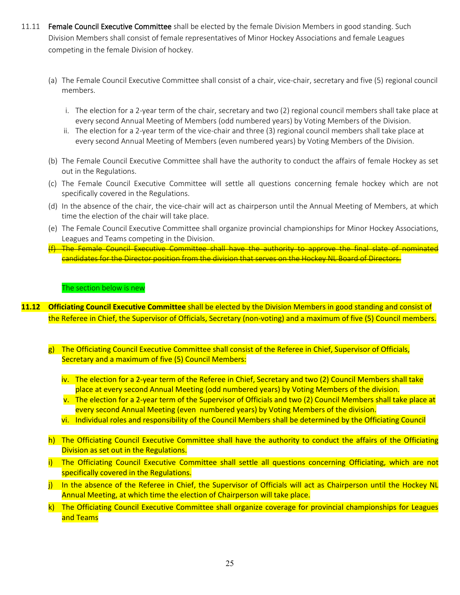- 11.11 Female Council Executive Committee shall be elected by the female Division Members in good standing. Such Division Members shall consist of female representatives of Minor Hockey Associations and female Leagues competing in the female Division of hockey.
	- (a) The Female Council Executive Committee shall consist of a chair, vice-chair, secretary and five (5) regional council members.
		- i. The election for a 2-year term of the chair, secretary and two (2) regional council members shall take place at every second Annual Meeting of Members (odd numbered years) by Voting Members of the Division.
		- ii. The election for a 2-year term of the vice-chair and three (3) regional council members shall take place at every second Annual Meeting of Members (even numbered years) by Voting Members of the Division.
	- (b) The Female Council Executive Committee shall have the authority to conduct the affairs of female Hockey as set out in the Regulations.
	- (c) The Female Council Executive Committee will settle all questions concerning female hockey which are not specifically covered in the Regulations.
	- (d) In the absence of the chair, the vice-chair will act as chairperson until the Annual Meeting of Members, at which time the election of the chair will take place.
	- (e) The Female Council Executive Committee shall organize provincial championships for Minor Hockey Associations, Leagues and Teams competing in the Division.
	- (f) The Female Council Executive Committee shall have the authority to approve the final slate of nominated candidates for the Director position from the division that serves on the Hockey NL Board of Directors.

#### The section below is new

- **11.12 Officiating Council Executive Committee** shall be elected by the Division Members in good standing and consist of the Referee in Chief, the Supervisor of Officials, Secretary (non-voting) and a maximum of five (5) Council members.
	- g) The Officiating Council Executive Committee shall consist of the Referee in Chief, Supervisor of Officials, Secretary and a maximum of five (5) Council Members:
		- iv. The election for a 2-year term of the Referee in Chief, Secretary and two (2) Council Members shall take place at every second Annual Meeting (odd numbered years) by Voting Members of the division.
		- v. The election for a 2-year term of the Supervisor of Officials and two (2) Council Members shall take place at every second Annual Meeting (even numbered years) by Voting Members of the division.
		- vi. Individual roles and responsibility of the Council Members shall be determined by the Officiating Council
	- h) The Officiating Council Executive Committee shall have the authority to conduct the affairs of the Officiating Division as set out in the Regulations.
	- i) The Officiating Council Executive Committee shall settle all questions concerning Officiating, which are not specifically covered in the Regulations.
	- i) In the absence of the Referee in Chief, the Supervisor of Officials will act as Chairperson until the Hockey NL Annual Meeting, at which time the election of Chairperson will take place.
	- k) The Officiating Council Executive Committee shall organize coverage for provincial championships for Leagues and Teams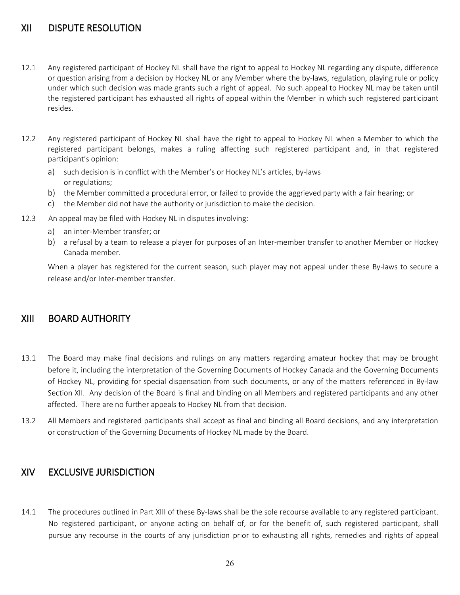## XII DISPUTE RESOLUTION

- 12.1 Any registered participant of Hockey NL shall have the right to appeal to Hockey NL regarding any dispute, difference or question arising from a decision by Hockey NL or any Member where the by-laws, regulation, playing rule or policy under which such decision was made grants such a right of appeal. No such appeal to Hockey NL may be taken until the registered participant has exhausted all rights of appeal within the Member in which such registered participant resides.
- 12.2 Any registered participant of Hockey NL shall have the right to appeal to Hockey NL when a Member to which the registered participant belongs, makes a ruling affecting such registered participant and, in that registered participant's opinion:
	- a) such decision is in conflict with the Member's or Hockey NL's articles, by-laws or regulations;
	- b) the Member committed a procedural error, or failed to provide the aggrieved party with a fair hearing; or
	- c) the Member did not have the authority or jurisdiction to make the decision.
- 12.3 An appeal may be filed with Hockey NL in disputes involving:
	- a) an inter-Member transfer; or
	- b) a refusal by a team to release a player for purposes of an Inter-member transfer to another Member or Hockey Canada member.

When a player has registered for the current season, such player may not appeal under these By-laws to secure a release and/or Inter-member transfer.

## XIII BOARD AUTHORITY

- 13.1 The Board may make final decisions and rulings on any matters regarding amateur hockey that may be brought before it, including the interpretation of the Governing Documents of Hockey Canada and the Governing Documents of Hockey NL, providing for special dispensation from such documents, or any of the matters referenced in By-law Section XII. Any decision of the Board is final and binding on all Members and registered participants and any other affected. There are no further appeals to Hockey NL from that decision.
- 13.2 All Members and registered participants shall accept as final and binding all Board decisions, and any interpretation or construction of the Governing Documents of Hockey NL made by the Board.

## XIV EXCLUSIVE JURISDICTION

14.1 The procedures outlined in Part XIII of these By-laws shall be the sole recourse available to any registered participant. No registered participant, or anyone acting on behalf of, or for the benefit of, such registered participant, shall pursue any recourse in the courts of any jurisdiction prior to exhausting all rights, remedies and rights of appeal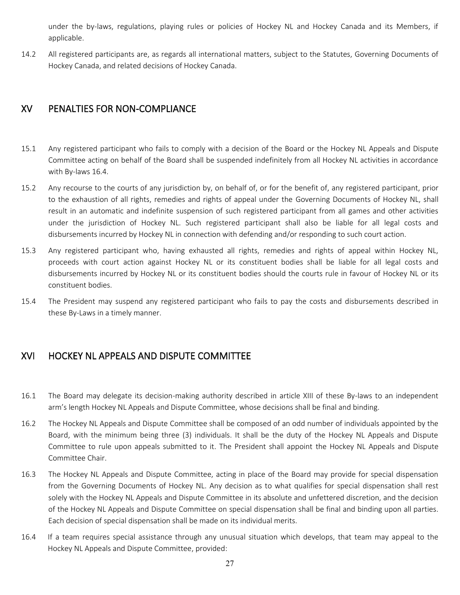under the by-laws, regulations, playing rules or policies of Hockey NL and Hockey Canada and its Members, if applicable.

14.2 All registered participants are, as regards all international matters, subject to the Statutes, Governing Documents of Hockey Canada, and related decisions of Hockey Canada.

## XV PENALTIES FOR NON-COMPLIANCE

- 15.1 Any registered participant who fails to comply with a decision of the Board or the Hockey NL Appeals and Dispute Committee acting on behalf of the Board shall be suspended indefinitely from all Hockey NL activities in accordance with By-laws 16.4.
- 15.2 Any recourse to the courts of any jurisdiction by, on behalf of, or for the benefit of, any registered participant, prior to the exhaustion of all rights, remedies and rights of appeal under the Governing Documents of Hockey NL, shall result in an automatic and indefinite suspension of such registered participant from all games and other activities under the jurisdiction of Hockey NL. Such registered participant shall also be liable for all legal costs and disbursements incurred by Hockey NL in connection with defending and/or responding to such court action.
- 15.3 Any registered participant who, having exhausted all rights, remedies and rights of appeal within Hockey NL, proceeds with court action against Hockey NL or its constituent bodies shall be liable for all legal costs and disbursements incurred by Hockey NL or its constituent bodies should the courts rule in favour of Hockey NL or its constituent bodies.
- 15.4 The President may suspend any registered participant who fails to pay the costs and disbursements described in these By-Laws in a timely manner.

## XVI HOCKEY NL APPEALS AND DISPUTE COMMITTEE

- 16.1 The Board may delegate its decision-making authority described in article XIII of these By-laws to an independent arm's length Hockey NL Appeals and Dispute Committee, whose decisions shall be final and binding.
- 16.2 The Hockey NL Appeals and Dispute Committee shall be composed of an odd number of individuals appointed by the Board, with the minimum being three (3) individuals. It shall be the duty of the Hockey NL Appeals and Dispute Committee to rule upon appeals submitted to it. The President shall appoint the Hockey NL Appeals and Dispute Committee Chair.
- 16.3 The Hockey NL Appeals and Dispute Committee, acting in place of the Board may provide for special dispensation from the Governing Documents of Hockey NL. Any decision as to what qualifies for special dispensation shall rest solely with the Hockey NL Appeals and Dispute Committee in its absolute and unfettered discretion, and the decision of the Hockey NL Appeals and Dispute Committee on special dispensation shall be final and binding upon all parties. Each decision of special dispensation shall be made on its individual merits.
- 16.4 If a team requires special assistance through any unusual situation which develops, that team may appeal to the Hockey NL Appeals and Dispute Committee, provided: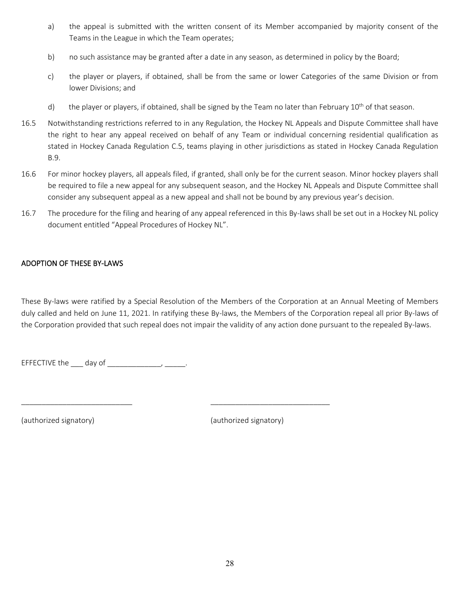- a) the appeal is submitted with the written consent of its Member accompanied by majority consent of the Teams in the League in which the Team operates;
- b) no such assistance may be granted after a date in any season, as determined in policy by the Board;
- c) the player or players, if obtained, shall be from the same or lower Categories of the same Division or from lower Divisions; and
- d) the player or players, if obtained, shall be signed by the Team no later than February 10<sup>th</sup> of that season.
- 16.5 Notwithstanding restrictions referred to in any Regulation, the Hockey NL Appeals and Dispute Committee shall have the right to hear any appeal received on behalf of any Team or individual concerning residential qualification as stated in Hockey Canada Regulation C.5, teams playing in other jurisdictions as stated in Hockey Canada Regulation B.9.
- 16.6 For minor hockey players, all appeals filed, if granted, shall only be for the current season. Minor hockey players shall be required to file a new appeal for any subsequent season, and the Hockey NL Appeals and Dispute Committee shall consider any subsequent appeal as a new appeal and shall not be bound by any previous year's decision.
- 16.7 The procedure for the filing and hearing of any appeal referenced in this By-laws shall be set out in a Hockey NL policy document entitled "Appeal Procedures of Hockey NL".

## ADOPTION OF THESE BY-LAWS

These By-laws were ratified by a Special Resolution of the Members of the Corporation at an Annual Meeting of Members duly called and held on June 11, 2021. In ratifying these By-laws, the Members of the Corporation repeal all prior By-laws of the Corporation provided that such repeal does not impair the validity of any action done pursuant to the repealed By-laws.

\_\_\_\_\_\_\_\_\_\_\_\_\_\_\_\_\_\_\_\_\_\_\_\_\_\_\_ \_\_\_\_\_\_\_\_\_\_\_\_\_\_\_\_\_\_\_\_\_\_\_\_\_\_\_\_\_

EFFECTIVE the  $\_\_\_$  day of  $\_\_\_\_\_\_\_\_\_\_\_\_\_\_\_\_$ 

(authorized signatory) (authorized signatory)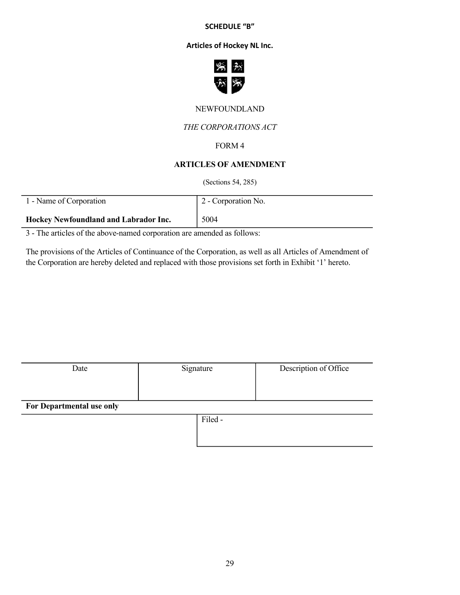#### **SCHEDULE "B"**

## **Articles of Hockey NL Inc.**



## NEWFOUNDLAND

## *THE CORPORATIONS ACT*

## FORM 4

## **ARTICLES OF AMENDMENT**

(Sections 54, 285)

| 1 - Name of Corporation               | 2 - Corporation No. |
|---------------------------------------|---------------------|
| Hockey Newfoundland and Labrador Inc. | 5004                |

3 - The articles of the above-named corporation are amended as follows:

 $\overline{\phantom{0}}$ 

The provisions of the Articles of Continuance of the Corporation, as well as all Articles of Amendment of the Corporation are hereby deleted and replaced with those provisions set forth in Exhibit '1' hereto.

| Date                      | Signature | Description of Office |
|---------------------------|-----------|-----------------------|
|                           |           |                       |
|                           |           |                       |
| For Departmental use only |           |                       |
|                           | Filed-    |                       |
|                           |           |                       |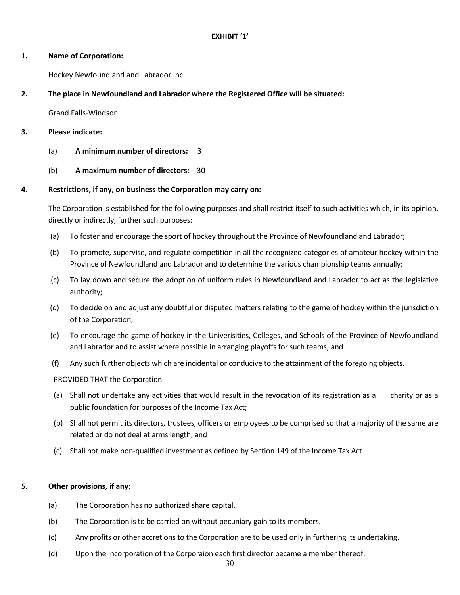#### **EXHIBIT '1'**

#### **1. Name of Corporation:**

Hockey Newfoundland and Labrador Inc.

## **2. The place in Newfoundland and Labrador where the Registered Office will be situated:**

Grand Falls-Windsor

## **3. Please indicate:**

- (a) **A minimum number of directors:** 3
- (b) **A maximum number of directors:** 30

## **4. Restrictions, if any, on business the Corporation may carry on:**

The Corporation is established for the following purposes and shall restrict itself to such activities which, in its opinion, directly or indirectly, further such purposes:

- (a) To foster and encourage the sport of hockey throughout the Province of Newfoundland and Labrador;
- (b) To promote, supervise, and regulate competition in all the recognized categories of amateur hockey within the Province of Newfoundland and Labrador and to determine the various championship teams annually;
- (c) To lay down and secure the adoption of uniform rules in Newfoundland and Labrador to act as the legislative authority;
- (d) To decide on and adjust any doubtful or disputed matters relating to the game of hockey within the jurisdiction of the Corporation;
- (e) To encourage the game of hockey in the Univerisities, Colleges, and Schools of the Province of Newfoundland and Labrador and to assist where possible in arranging playoffs for such teams; and
- (f) Any such further objects which are incidental or conducive to the attainment of the foregoing objects.

## PROVIDED THAT the Corporation

- (a) Shall not undertake any activities that would result in the revocation of its registration as a charity or as a public foundation for purposes of the Income Tax Act;
- (b) Shall not permit its directors, trustees, officers or employees to be comprised so that a majority of the same are related or do not deal at arms length; and
- (c) Shall not make non-qualified investment as defined by Section 149 of the Income Tax Act.

## **5. Other provisions, if any:**

- (a) The Corporation has no authorized share capital.
- (b) The Corporation is to be carried on without pecuniary gain to its members.
- (c) Any profits or other accretions to the Corporation are to be used only in furthering its undertaking.
- (d) Upon the Incorporation of the Corporaion each first director became a member thereof.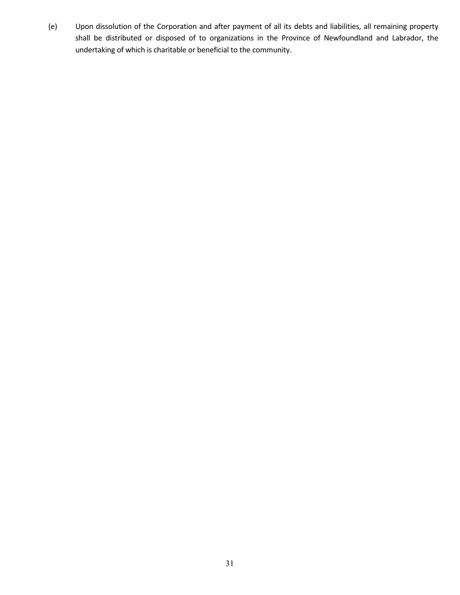(e) Upon dissolution of the Corporation and after payment of all its debts and liabilities, all remaining property shall be distributed or disposed of to organizations in the Province of Newfoundland and Labrador, the undertaking of which is charitable or beneficial to the community.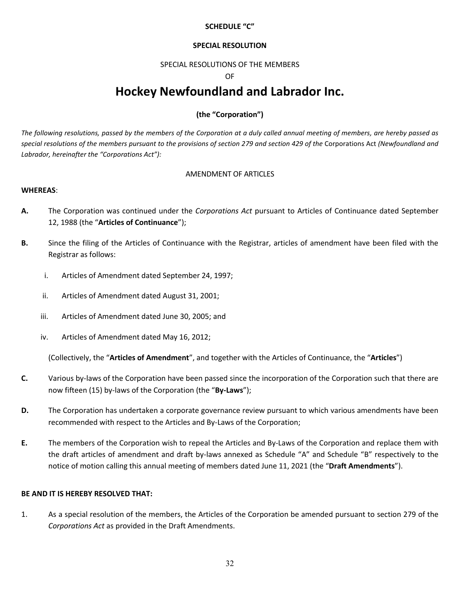## **SCHEDULE "C"**

#### **SPECIAL RESOLUTION**

#### SPECIAL RESOLUTIONS OF THE MEMBERS

#### OF

## **Hockey Newfoundland and Labrador Inc.**

## **(the "Corporation")**

*The following resolutions, passed by the members of the Corporation at a duly called annual meeting of members, are hereby passed as special resolutions of the members pursuant to the provisions of section 279 and section 429 of the* Corporations Act *(Newfoundland and Labrador, hereinafter the "Corporations Act"):*

## AMENDMENT OF ARTICLES

#### **WHEREAS**:

- **A.** The Corporation was continued under the *Corporations Act* pursuant to Articles of Continuance dated September 12, 1988 (the "**Articles of Continuance**");
- **B.** Since the filing of the Articles of Continuance with the Registrar, articles of amendment have been filed with the Registrar as follows:
	- i. Articles of Amendment dated September 24, 1997;
	- ii. Articles of Amendment dated August 31, 2001;
	- iii. Articles of Amendment dated June 30, 2005; and
	- iv. Articles of Amendment dated May 16, 2012;

(Collectively, the "**Articles of Amendment**", and together with the Articles of Continuance, the "**Articles**")

- **C.** Various by-laws of the Corporation have been passed since the incorporation of the Corporation such that there are now fifteen (15) by-laws of the Corporation (the "**By-Laws**");
- **D.** The Corporation has undertaken a corporate governance review pursuant to which various amendments have been recommended with respect to the Articles and By-Laws of the Corporation;
- **E.** The members of the Corporation wish to repeal the Articles and By-Laws of the Corporation and replace them with the draft articles of amendment and draft by-laws annexed as Schedule "A" and Schedule "B" respectively to the notice of motion calling this annual meeting of members dated June 11, 2021 (the "**Draft Amendments**").

#### **BE AND IT IS HEREBY RESOLVED THAT:**

1. As a special resolution of the members, the Articles of the Corporation be amended pursuant to section 279 of the *Corporations Act* as provided in the Draft Amendments.